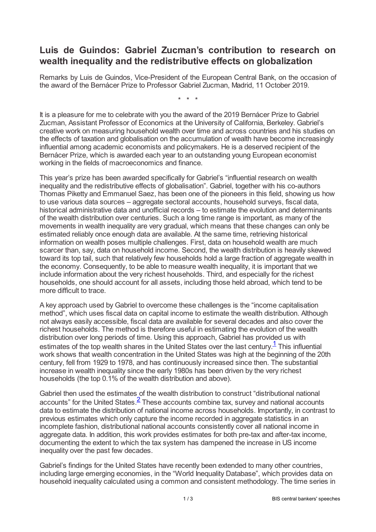## **Luis de Guindos: Gabriel Zucman's contribution to research on wealth inequality and the redistributive effects on globalization**

Remarks by Luis de Guindos, Vice-President of the European Central Bank, on the occasion of the award of the Bernácer Prize to Professor Gabriel Zucman, Madrid, 11 October 2019.

\* \* \*

It is a pleasure for me to celebrate with you the award of the 2019 Bernácer Prize to Gabriel Zucman, Assistant Professor of Economics at the University of California, Berkeley. Gabriel's creative work on measuring household wealth over time and across countries and his studies on the effects of taxation and globalisation on the accumulation of wealth have become increasingly influential among academic economists and policymakers. He is a deserved recipient of the Bernácer Prize, which is awarded each year to an outstanding young European economist working in the fields of macroeconomics and finance.

This year's prize has been awarded specifically for Gabriel's "influential research on wealth inequality and the redistributive effects of globalisation". Gabriel, together with his co-authors Thomas Piketty and Emmanuel Saez, has been one of the pioneers in this field, showing us how to use various data sources – aggregate sectoral accounts, household surveys, fiscal data, historical administrative data and unofficial records – to estimate the evolution and determinants of the wealth distribution over centuries. Such a long time range is important, as many of the movements in wealth inequality are very gradual, which means that these changes can only be estimated reliably once enough data are available. At the same time, retrieving historical information on wealth poses multiple challenges. First, data on household wealth are much scarcer than, say, data on household income. Second, the wealth distribution is heavily skewed toward its top tail, such that relatively few households hold a large fraction of aggregate wealth in the economy. Consequently, to be able to measure wealth inequality, it is important that we include information about the very richest households. Third, and especially for the richest households, one should account for all assets, including those held abroad, which tend to be more difficult to trace.

<span id="page-0-0"></span>A key approach used by Gabriel to overcome these challenges is the "income capitalisation method", which uses fiscal data on capital income to estimate the wealth distribution. Although not always easily accessible, fiscal data are available for several decades and also cover the richest households. The method is therefore useful in estimating the evolution of the wealth distribution over long periods of time. Using this approach, Gabriel has provided us with estimates of the top wealth shares in the United States over the last century.<sup>[1](#page-2-0)</sup> This influential work shows that wealth concentration in the United States was high at the beginning of the 20th century, fell from 1929 to 1978, and has continuously increased since then. The substantial increase in wealth inequality since the early 1980s has been driven by the very richest households (the top 0.1% of the wealth distribution and above).

<span id="page-0-1"></span>Gabriel then used the estimates of the wealth distribution to construct "distributional national accounts" for the United States. $\frac{2}{ }$  $\frac{2}{ }$  $\frac{2}{ }$  These accounts combine tax, survey and national accounts data to estimate the distribution of national income across households. Importantly, in contrast to previous estimates which only capture the income recorded in aggregate statistics in an incomplete fashion, distributional national accounts consistently cover all national income in aggregate data. In addition, this work provides estimates for both pre-tax and after-tax income, documenting the extent to which the tax system has dampened the increase in US income inequality over the past few decades.

Gabriel's findings for the United States have recently been extended to many other countries, including large emerging economies, in the "World Inequality Database", which provides data on household inequality calculated using a common and consistent methodology. The time series in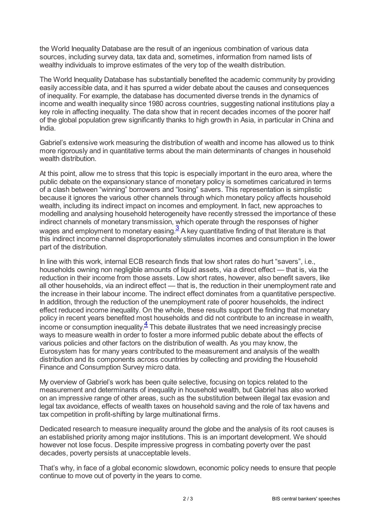the World Inequality Database are the result of an ingenious combination of various data sources, including survey data, tax data and, sometimes, information from named lists of wealthy individuals to improve estimates of the very top of the wealth distribution.

The World Inequality Database has substantially benefited the academic community by providing easily accessible data, and it has spurred a wider debate about the causes and consequences of inequality. For example, the database has documented diverse trends in the dynamics of income and wealth inequality since 1980 across countries, suggesting national institutions play a key role in affecting inequality. The data show that in recent decades incomes of the poorer half of the global population grew significantly thanks to high growth in Asia, in particular in China and India.

Gabriel's extensive work measuring the distribution of wealth and income has allowed us to think more rigorously and in quantitative terms about the main determinants of changes in household wealth distribution.

At this point, allow me to stress that this topic is especially important in the euro area, where the public debate on the expansionary stance of monetary policy is sometimes caricatured in terms of a clash between "winning" borrowers and "losing" savers. This representation is simplistic because it ignores the various other channels through which monetary policy affects household wealth, including its indirect impact on incomes and employment. In fact, new approaches to modelling and analysing household heterogeneity have recently stressed the importance of these indirect channels of monetary transmission, which operate through the responses of higher wages and employment to monetary easing. $\frac{3}{2}$  $\frac{3}{2}$  $\frac{3}{2}$  A key quantitative finding of that literature is that this indirect income channel disproportionately stimulates incomes and consumption in the lower part of the distribution.

<span id="page-1-0"></span>In line with this work, internal ECB research finds that low short rates do hurt "savers", i.e., households owning non negligible amounts of liquid assets, via a direct effect — that is, via the reduction in their income from those assets. Low short rates, however, also benefit savers, like all other households, via an indirect effect — that is, the reduction in their unemployment rate and the increase in their labour income. The indirect effect dominates from a quantitative perspective. In addition, through the reduction of the unemployment rate of poorer households, the indirect effect reduced income inequality. On the whole, these results support the finding that monetary policy in recent years benefited most households and did not contribute to an increase in wealth,  $\frac{1}{2}$  income or consumption inequality. $\frac{4}{5}$  $\frac{4}{5}$  $\frac{4}{5}$  This debate illustrates that we need increasingly precise ways to measure wealth in order to foster a more informed public debate about the effects of various policies and other factors on the distribution of wealth. As you may know, the Eurosystem has for many years contributed to the measurement and analysis of the wealth distribution and its components across countries by collecting and providing the Household Finance and Consumption Survey micro data.

<span id="page-1-1"></span>My overview of Gabriel's work has been quite selective, focusing on topics related to the measurement and determinants of inequality in household wealth, but Gabriel has also worked on an impressive range of other areas, such as the substitution between illegal tax evasion and legal tax avoidance, effects of wealth taxes on household saving and the role of tax havens and tax competition in profit-shifting by large multinational firms.

Dedicated research to measure inequality around the globe and the analysis of its root causes is an established priority among major institutions. This is an important development. We should however not lose focus. Despite impressive progress in combating poverty over the past decades, poverty persists at unacceptable levels.

That's why, in face of a global economic slowdown, economic policy needs to ensure that people continue to move out of poverty in the years to come.